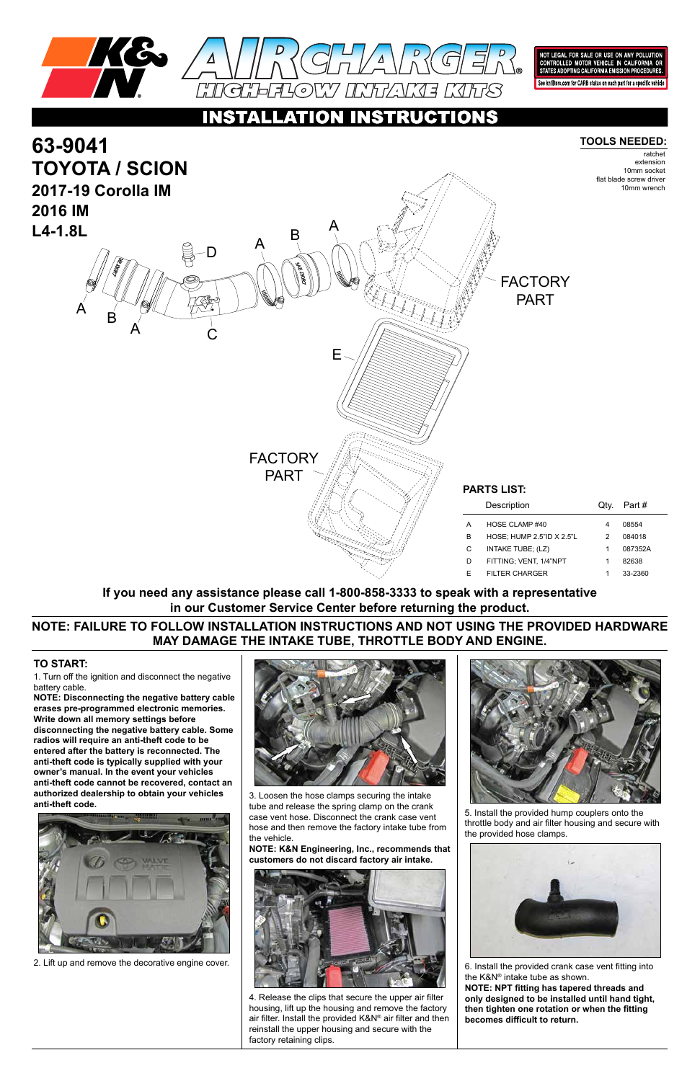

NOT LEGAL FOR SALE OR USE ON ANY POLLU<mark>TI</mark>ON CONTROLLED MOTOR VEHICLE IN CALIFORNIA OR<br>STATES ADOPTING CALIFORNIA EMISSION PROCEDURES.

See knfilters.com for CARB status on each part for a specific vehicle

### NSTRUCTIONS  $\bullet$

1. Turn off the ignition and disconnect the negative battery cable.

**NOTE: Disconnecting the negative battery cable erases pre-programmed electronic memories. Write down all memory settings before disconnecting the negative battery cable. Some radios will require an anti-theft code to be entered after the battery is reconnected. The anti-theft code is typically supplied with your owner's manual. In the event your vehicles anti-theft code cannot be recovered, contact an authorized dealership to obtain your vehicles anti-theft code.**





## **TO START:**



**NOTE: FAILURE TO FOLLOW INSTALLATION INSTRUCTIONS AND NOT USING THE PROVIDED HARDWARE MAY DAMAGE THE INTAKE TUBE, THROTTLE BODY AND ENGINE.**

**If you need any assistance please call 1-800-858-3333 to speak with a representative in our Customer Service Center before returning the product.**



2. Lift up and remove the decorative engine cover.

3. Loosen the hose clamps securing the intake tube and release the spring clamp on the crank case vent hose. Disconnect the crank case vent hose and then remove the factory intake tube from the vehicle.

**NOTE: K&N Engineering, Inc., recommends that customers do not discard factory air intake.**



4. Release the clips that secure the upper air filter housing, lift up the housing and remove the factory air filter. Install the provided K&N® air filter and then reinstall the upper housing and secure with the factory retaining clips.

5. Install the provided hump couplers onto the throttle body and air filter housing and secure with the provided hose clamps.



6. Install the provided crank case vent fitting into the K&N® intake tube as shown. **NOTE: NPT fitting has tapered threads and only designed to be installed until hand tight, then tighten one rotation or when the fitting becomes difficult to return.**